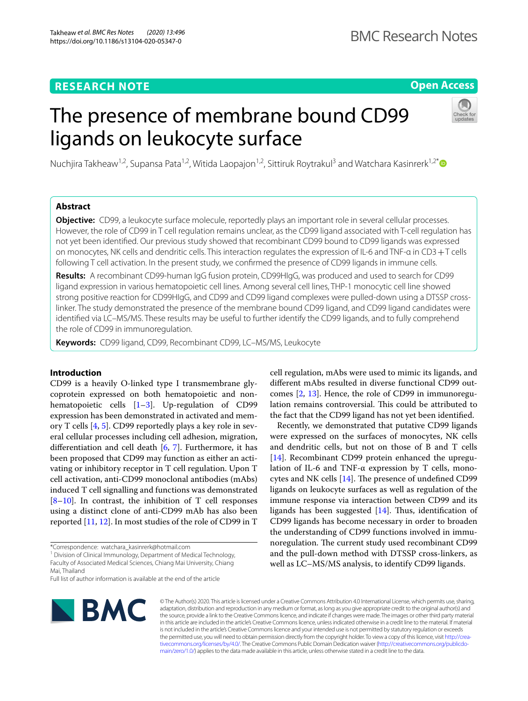# **RESEARCH NOTE**

# **Open Access**

# The presence of membrane bound CD99 ligands on leukocyte surface



Nuchjira Takheaw<sup>1,2</sup>, Supansa Pata<sup>1,2</sup>, Witida Laopajon<sup>1,2</sup>, Sittiruk Roytrakul<sup>3</sup> and Watchara Kasinrerk<sup>1,2[\\*](http://orcid.org/0000-0003-0316-1531)</sup>

# **Abstract**

**Objective:** CD99, a leukocyte surface molecule, reportedly plays an important role in several cellular processes. However, the role of CD99 in T cell regulation remains unclear, as the CD99 ligand associated with T-cell regulation has not yet been identifed. Our previous study showed that recombinant CD99 bound to CD99 ligands was expressed on monocytes, NK cells and dendritic cells. This interaction regulates the expression of IL-6 and TNF-α in CD3+T cells following T cell activation. In the present study, we confrmed the presence of CD99 ligands in immune cells.

**Results:** A recombinant CD99-human IgG fusion protein, CD99HIgG, was produced and used to search for CD99 ligand expression in various hematopoietic cell lines. Among several cell lines, THP-1 monocytic cell line showed strong positive reaction for CD99HIgG, and CD99 and CD99 ligand complexes were pulled-down using a DTSSP crosslinker. The study demonstrated the presence of the membrane bound CD99 ligand, and CD99 ligand candidates were identifed via LC–MS/MS. These results may be useful to further identify the CD99 ligands, and to fully comprehend the role of CD99 in immunoregulation.

**Keywords:** CD99 ligand, CD99, Recombinant CD99, LC–MS/MS, Leukocyte

# **Introduction**

CD99 is a heavily O-linked type I transmembrane glycoprotein expressed on both hematopoietic and nonhematopoietic cells [[1](#page-5-0)[–3](#page-5-1)]. Up-regulation of CD99 expression has been demonstrated in activated and memory T cells [\[4,](#page-5-2) [5\]](#page-5-3). CD99 reportedly plays a key role in several cellular processes including cell adhesion, migration, diferentiation and cell death [\[6](#page-5-4), [7\]](#page-5-5). Furthermore, it has been proposed that CD99 may function as either an activating or inhibitory receptor in T cell regulation. Upon T cell activation, anti-CD99 monoclonal antibodies (mAbs) induced T cell signalling and functions was demonstrated  $[8-10]$  $[8-10]$ . In contrast, the inhibition of T cell responses using a distinct clone of anti-CD99 mAb has also been reported [[11,](#page-5-8) [12\]](#page-5-9). In most studies of the role of CD99 in T

\*Correspondence: watchara\_kasinrerk@hotmail.com

<sup>1</sup> Division of Clinical Immunology, Department of Medical Technology, Faculty of Associated Medical Sciences, Chiang Mai University, Chiang Mai, Thailand

Full list of author information is available at the end of the article



© The Author(s) 2020. This article is licensed under a Creative Commons Attribution 4.0 International License, which permits use, sharing, adaptation, distribution and reproduction in any medium or format, as long as you give appropriate credit to the original author(s) and the source, provide a link to the Creative Commons licence, and indicate if changes were made. The images or other third party material in this article are included in the article's Creative Commons licence, unless indicated otherwise in a credit line to the material. If material is not included in the article's Creative Commons licence and your intended use is not permitted by statutory regulation or exceeds the permitted use, you will need to obtain permission directly from the copyright holder. To view a copy of this licence, visit [http://crea](http://creativecommons.org/licenses/by/4.0/)[tivecommons.org/licenses/by/4.0/.](http://creativecommons.org/licenses/by/4.0/) The Creative Commons Public Domain Dedication waiver ([http://creativecommons.org/publicdo](http://creativecommons.org/publicdomain/zero/1.0/)[main/zero/1.0/\)](http://creativecommons.org/publicdomain/zero/1.0/) applies to the data made available in this article, unless otherwise stated in a credit line to the data.

cell regulation, mAbs were used to mimic its ligands, and diferent mAbs resulted in diverse functional CD99 outcomes [\[2,](#page-5-10) [13](#page-5-11)]. Hence, the role of CD99 in immunoregulation remains controversial. This could be attributed to the fact that the CD99 ligand has not yet been identifed.

Recently, we demonstrated that putative CD99 ligands were expressed on the surfaces of monocytes, NK cells and dendritic cells, but not on those of B and T cells [[14\]](#page-5-12). Recombinant CD99 protein enhanced the upregulation of IL-6 and TNF- $\alpha$  expression by T cells, monocytes and NK cells  $[14]$  $[14]$ . The presence of undefined CD99 ligands on leukocyte surfaces as well as regulation of the immune response via interaction between CD99 and its ligands has been suggested  $[14]$  $[14]$ . Thus, identification of CD99 ligands has become necessary in order to broaden the understanding of CD99 functions involved in immunoregulation. The current study used recombinant CD99 and the pull-down method with DTSSP cross-linkers, as well as LC–MS/MS analysis, to identify CD99 ligands.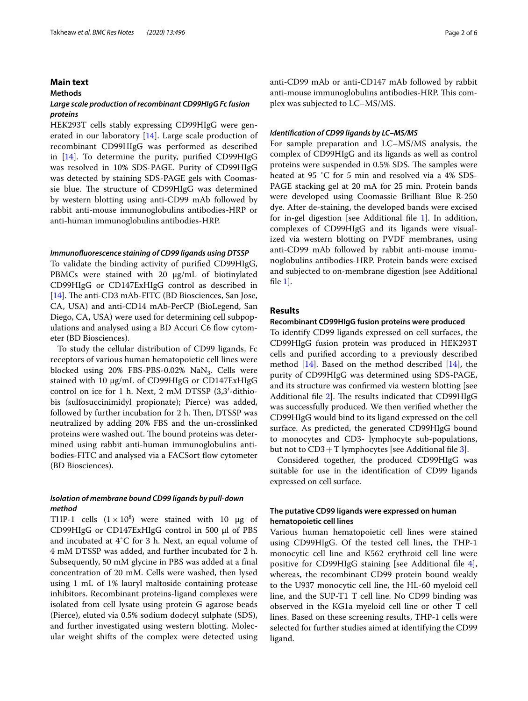## **Main text**

## **Methods**

# *Large scale production of recombinant CD99HIgG Fc fusion proteins*

HEK293T cells stably expressing CD99HIgG were generated in our laboratory [\[14](#page-5-12)]. Large scale production of recombinant CD99HIgG was performed as described in [\[14\]](#page-5-12). To determine the purity, purifed CD99HIgG was resolved in 10% SDS-PAGE. Purity of CD99HIgG was detected by staining SDS-PAGE gels with Coomassie blue. The structure of CD99HIgG was determined by western blotting using anti-CD99 mAb followed by rabbit anti-mouse immunoglobulins antibodies-HRP or anti-human immunoglobulins antibodies-HRP.

## *Immunofuorescence staining of CD99 ligands using DTSSP*

To validate the binding activity of purifed CD99HIgG, PBMCs were stained with 20 μg/mL of biotinylated CD99HIgG or CD147ExHIgG control as described in [[14\]](#page-5-12). The anti-CD3 mAb-FITC (BD Biosciences, San Jose, CA, USA) and anti-CD14 mAb-PerCP (BioLegend, San Diego, CA, USA) were used for determining cell subpopulations and analysed using a BD Accuri C6 flow cytometer (BD Biosciences).

To study the cellular distribution of CD99 ligands, Fc receptors of various human hematopoietic cell lines were blocked using  $20\%$  FBS-PBS-0.02% NaN<sub>3</sub>. Cells were stained with 10 μg/mL of CD99HIgG or CD147ExHIgG control on ice for 1 h. Next, 2 mM DTSSP (3,3′-dithiobis (sulfosuccinimidyl propionate); Pierce) was added, followed by further incubation for 2 h. Then, DTSSP was neutralized by adding 20% FBS and the un-crosslinked proteins were washed out. The bound proteins was determined using rabbit anti-human immunoglobulins antibodies-FITC and analysed via a FACSort flow cytometer (BD Biosciences).

# *Isolation of membrane bound CD99 ligands by pull‑down method*

THP-1 cells  $(1 \times 10^8)$  were stained with 10 µg of CD99HIgG or CD147ExHIgG control in 500 μl of PBS and incubated at 4˚C for 3 h. Next, an equal volume of 4 mM DTSSP was added, and further incubated for 2 h. Subsequently, 50 mM glycine in PBS was added at a fnal concentration of 20 mM. Cells were washed, then lysed using 1 mL of 1% lauryl maltoside containing protease inhibitors. Recombinant proteins-ligand complexes were isolated from cell lysate using protein G agarose beads (Pierce), eluted via 0.5% sodium dodecyl sulphate (SDS), and further investigated using western blotting. Molecular weight shifts of the complex were detected using

anti-CD99 mAb or anti-CD147 mAb followed by rabbit anti-mouse immunoglobulins antibodies-HRP. This complex was subjected to LC–MS/MS.

## *Identifcation of CD99 ligands by LC–MS/MS*

For sample preparation and LC–MS/MS analysis, the complex of CD99HIgG and its ligands as well as control proteins were suspended in 0.5% SDS. The samples were heated at 95 ˚C for 5 min and resolved via a 4% SDS-PAGE stacking gel at 20 mA for 25 min. Protein bands were developed using Coomassie Brilliant Blue R-250 dye. After de-staining, the developed bands were excised for in-gel digestion [see Additional fle [1\]](#page-4-0). In addition, complexes of CD99HIgG and its ligands were visualized via western blotting on PVDF membranes, using anti-CD99 mAb followed by rabbit anti-mouse immunoglobulins antibodies-HRP. Protein bands were excised and subjected to on-membrane digestion [see Additional fle [1](#page-4-0)].

# **Results**

# **Recombinant CD99HIgG fusion proteins were produced**

To identify CD99 ligands expressed on cell surfaces, the CD99HIgG fusion protein was produced in HEK293T cells and purifed according to a previously described method [[14\]](#page-5-12). Based on the method described [\[14](#page-5-12)], the purity of CD99HIgG was determined using SDS-PAGE, and its structure was confrmed via western blotting [see Additional file  $2$ ]. The results indicated that CD99HIgG was successfully produced. We then verifed whether the CD99HIgG would bind to its ligand expressed on the cell surface. As predicted, the generated CD99HIgG bound to monocytes and CD3- lymphocyte sub-populations, but not to  $CD3+T$  lymphocytes [see Additional file [3\]](#page-4-2).

Considered together, the produced CD99HIgG was suitable for use in the identifcation of CD99 ligands expressed on cell surface.

# **The putative CD99 ligands were expressed on human hematopoietic cell lines**

Various human hematopoietic cell lines were stained using CD99HIgG. Of the tested cell lines, the THP-1 monocytic cell line and K562 erythroid cell line were positive for CD99HIgG staining [see Additional fle [4](#page-5-13)], whereas, the recombinant CD99 protein bound weakly to the U937 monocytic cell line, the HL-60 myeloid cell line, and the SUP-T1 T cell line. No CD99 binding was observed in the KG1a myeloid cell line or other T cell lines. Based on these screening results, THP-1 cells were selected for further studies aimed at identifying the CD99 ligand.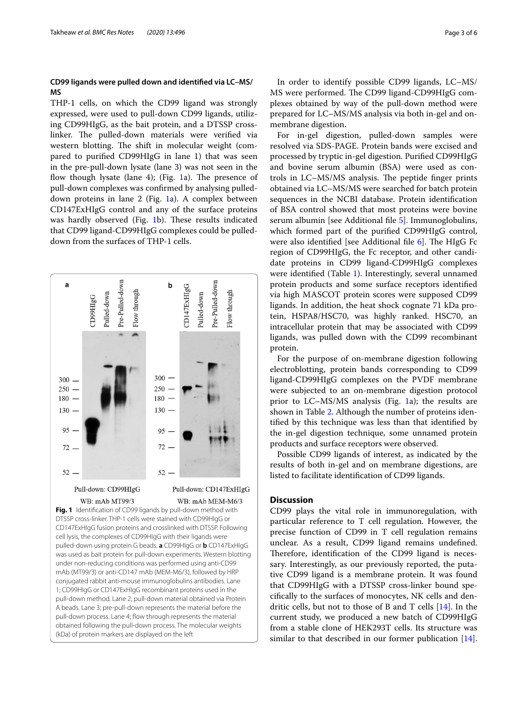# **CD99 ligands were pulled down and identifed via LC–MS/ MS**

THP-1 cells, on which the CD99 ligand was strongly expressed, were used to pull-down CD99 ligands, utilizing CD99HIgG, as the bait protein, and a DTSSP crosslinker. The pulled-down materials were verified via western blotting. The shift in molecular weight (compared to purifed CD99HIgG in lane 1) that was seen in the pre-pull-down lysate (lane 3) was not seen in the flow though lysate (lane 4); (Fig. [1](#page-2-0)a). The presence of pull-down complexes was confrmed by analysing pulleddown proteins in lane 2 (Fig. [1a](#page-2-0)). A complex between CD147ExHIgG control and any of the surface proteins was hardly observed (Fig. [1](#page-2-0)b). These results indicated that CD99 ligand-CD99HIgG complexes could be pulleddown from the surfaces of THP-1 cells.



In order to identify possible CD99 ligands, LC–MS/ MS were performed. The CD99 ligand-CD99HIgG complexes obtained by way of the pull-down method were prepared for LC–MS/MS analysis via both in-gel and onmembrane digestion.

For in-gel digestion, pulled-down samples were resolved via SDS-PAGE. Protein bands were excised and processed by tryptic in-gel digestion. Purifed CD99HIgG and bovine serum albumin (BSA) were used as controls in LC-MS/MS analysis. The peptide finger prints obtained via LC–MS/MS were searched for batch protein sequences in the NCBI database. Protein identifcation of BSA control showed that most proteins were bovine serum albumin [see Additional fle [5\]](#page-5-14). Immunoglobulins, which formed part of the purifed CD99HIgG control, were also identified [see Additional file  $6$ ]. The HIgG Fc region of CD99HIgG, the Fc receptor, and other candidate proteins in CD99 ligand-CD99HIgG complexes were identifed (Table [1](#page-3-0)). Interestingly, several unnamed protein products and some surface receptors identifed via high MASCOT protein scores were supposed CD99 ligands. In addition, the heat shock cognate 71 kDa protein, HSPA8/HSC70, was highly ranked. HSC70, an intracellular protein that may be associated with CD99 ligands, was pulled down with the CD99 recombinant protein.

For the purpose of on-membrane digestion following electroblotting, protein bands corresponding to CD99 ligand-CD99HIgG complexes on the PVDF membrane were subjected to an on-membrane digestion protocol prior to LC–MS/MS analysis (Fig. [1a](#page-2-0)); the results are shown in Table [2](#page-4-3). Although the number of proteins identifed by this technique was less than that identifed by the in-gel digestion technique, some unnamed protein products and surface receptors were observed.

Possible CD99 ligands of interest, as indicated by the results of both in-gel and on membrane digestions, are listed to facilitate identifcation of CD99 ligands.

## **Discussion**

<span id="page-2-0"></span>CD99 plays the vital role in immunoregulation, with particular reference to T cell regulation. However, the precise function of CD99 in T cell regulation remains unclear. As a result, CD99 ligand remains undefned. Therefore, identification of the CD99 ligand is necessary. Interestingly, as our previously reported, the putative CD99 ligand is a membrane protein. It was found that CD99HIgG with a DTSSP cross-linker bound specifcally to the surfaces of monocytes, NK cells and dendritic cells, but not to those of B and T cells [\[14](#page-5-12)]. In the current study, we produced a new batch of CD99HIgG from a stable clone of HEK293T cells. Its structure was similar to that described in our former publication [\[14](#page-5-12)].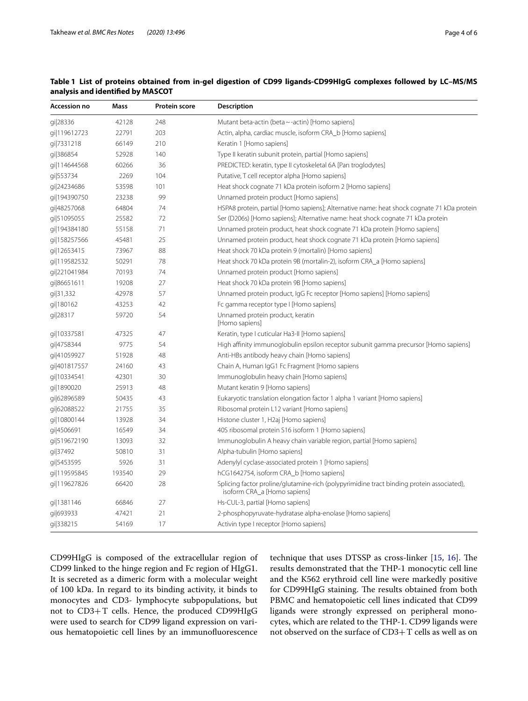| Accession no | Mass   | <b>Protein score</b> | <b>Description</b>                                                                                                        |  |
|--------------|--------|----------------------|---------------------------------------------------------------------------------------------------------------------------|--|
| gi 28336     | 42128  | 248                  | Mutant beta-actin (beta ~ -actin) [Homo sapiens]                                                                          |  |
| gi 119612723 | 22791  | 203                  | Actin, alpha, cardiac muscle, isoform CRA_b [Homo sapiens]                                                                |  |
| gi 7331218   | 66149  | 210                  | Keratin 1 [Homo sapiens]                                                                                                  |  |
| gi 386854    | 52928  | 140                  | Type II keratin subunit protein, partial [Homo sapiens]                                                                   |  |
| gi 114644568 | 60266  | 36                   | PREDICTED: keratin, type II cytoskeletal 6A [Pan troglodytes]                                                             |  |
| gi 553734    | 2269   | 104                  | Putative, T cell receptor alpha [Homo sapiens]                                                                            |  |
| gi 24234686  | 53598  | 101                  | Heat shock cognate 71 kDa protein isoform 2 [Homo sapiens]                                                                |  |
| gi 194390750 | 23238  | 99                   | Unnamed protein product [Homo sapiens]                                                                                    |  |
| gi 48257068  | 64804  | 74                   | HSPA8 protein, partial [Homo sapiens]; Alternative name: heat shock cognate 71 kDa protein                                |  |
| qi 51095055  | 25582  | 72                   | Ser (D206s) [Homo sapiens]; Alternative name: heat shock cognate 71 kDa protein                                           |  |
| gi 194384180 | 55158  | 71                   | Unnamed protein product, heat shock cognate 71 kDa protein [Homo sapiens]                                                 |  |
| qi 158257566 | 45481  | 25                   | Unnamed protein product, heat shock cognate 71 kDa protein [Homo sapiens]                                                 |  |
| qi 12653415  | 73967  | 88                   | Heat shock 70 kDa protein 9 (mortalin) [Homo sapiens]                                                                     |  |
| gi 119582532 | 50291  | 78                   | Heat shock 70 kDa protein 9B (mortalin-2), isoform CRA_a [Homo sapiens]                                                   |  |
| gi 221041984 | 70193  | 74                   | Unnamed protein product [Homo sapiens]                                                                                    |  |
| gi 86651611  | 19208  | 27                   | Heat shock 70 kDa protein 9B [Homo sapiens]                                                                               |  |
| qi 31,332    | 42978  | 57                   | Unnamed protein product, IgG Fc receptor [Homo sapiens] [Homo sapiens]                                                    |  |
| gi 180162    | 43253  | 42                   | Fc gamma receptor type I [Homo sapiens]                                                                                   |  |
| gi 28317     | 59720  | 54                   | Unnamed protein product, keratin<br>[Homo sapiens]                                                                        |  |
| gi 10337581  | 47325  | 47                   | Keratin, type I cuticular Ha3-II [Homo sapiens]                                                                           |  |
| gi 4758344   | 9775   | 54                   | High affinity immunoglobulin epsilon receptor subunit gamma precursor [Homo sapiens]                                      |  |
| gi 41059927  | 51928  | 48                   | Anti-HBs antibody heavy chain [Homo sapiens]                                                                              |  |
| gi 401817557 | 24160  | 43                   | Chain A, Human IgG1 Fc Fragment [Homo sapiens                                                                             |  |
| gi 10334541  | 42301  | 30                   | Immunoglobulin heavy chain [Homo sapiens]                                                                                 |  |
| gi 1890020   | 25913  | 48                   | Mutant keratin 9 [Homo sapiens]                                                                                           |  |
| gi 62896589  | 50435  | 43                   | Eukaryotic translation elongation factor 1 alpha 1 variant [Homo sapiens]                                                 |  |
| gi 62088522  | 21755  | 35                   | Ribosomal protein L12 variant [Homo sapiens]                                                                              |  |
| gi 10800144  | 13928  | 34                   | Histone cluster 1, H2aj [Homo sapiens]                                                                                    |  |
| gi 4506691   | 16549  | 34                   | 40S ribosomal protein S16 isoform 1 [Homo sapiens]                                                                        |  |
| gi 519672190 | 13093  | 32                   | Immunoglobulin A heavy chain variable region, partial [Homo sapiens]                                                      |  |
| gi37492      | 50810  | 31                   | Alpha-tubulin [Homo sapiens]                                                                                              |  |
| gi 5453595   | 5926   | 31                   | Adenylyl cyclase-associated protein 1 [Homo sapiens]                                                                      |  |
| qi 119595845 | 193540 | 29                   | hCG1642754, isoform CRA_b [Homo sapiens]                                                                                  |  |
| qi 119627826 | 66420  | 28                   | Splicing factor proline/glutamine-rich (polypyrimidine tract binding protein associated),<br>isoform CRA_a [Homo sapiens] |  |
| gi 1381146   | 66846  | 27                   | Hs-CUL-3, partial [Homo sapiens]                                                                                          |  |
| qi 693933    | 47421  | 21                   | 2-phosphopyruvate-hydratase alpha-enolase [Homo sapiens]                                                                  |  |
| gi 338215    | 54169  | 17                   | Activin type I receptor [Homo sapiens]                                                                                    |  |

# <span id="page-3-0"></span>**Table 1 List of proteins obtained from in-gel digestion of CD99 ligands-CD99HIgG complexes followed by LC–MS/MS analysis and identifed by MASCOT**

CD99HIgG is composed of the extracellular region of CD99 linked to the hinge region and Fc region of HIgG1. It is secreted as a dimeric form with a molecular weight of 100 kDa. In regard to its binding activity, it binds to monocytes and CD3- lymphocyte subpopulations, but not to CD3+T cells. Hence, the produced CD99HIgG were used to search for CD99 ligand expression on various hematopoietic cell lines by an immunofuorescence technique that uses DTSSP as cross-linker  $[15, 16]$  $[15, 16]$  $[15, 16]$  $[15, 16]$  $[15, 16]$ . The results demonstrated that the THP-1 monocytic cell line and the K562 erythroid cell line were markedly positive for CD99HIgG staining. The results obtained from both PBMC and hematopoietic cell lines indicated that CD99 ligands were strongly expressed on peripheral monocytes, which are related to the THP-1. CD99 ligands were not observed on the surface of CD3+T cells as well as on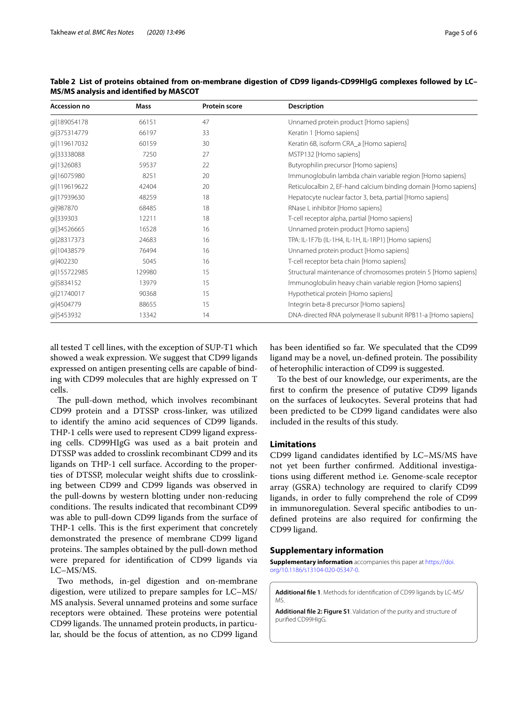| Accession no | <b>Mass</b> | <b>Protein score</b> | <b>Description</b>                                              |
|--------------|-------------|----------------------|-----------------------------------------------------------------|
| gi 189054178 | 66151       | 47                   | Unnamed protein product [Homo sapiens]                          |
| qi 375314779 | 66197       | 33                   | Keratin 1 [Homo sapiens]                                        |
| qi 119617032 | 60159       | 30                   | Keratin 6B, isoform CRA_a [Homo sapiens]                        |
| gi 33338088  | 7250        | 27                   | MSTP132 [Homo sapiens]                                          |
| qi 1326083   | 59537       | 22                   | Butyrophilin precursor [Homo sapiens]                           |
| qi 16075980  | 8251        | 20                   | Immunoglobulin lambda chain variable region [Homo sapiens]      |
| gi 119619622 | 42404       | 20                   | Reticulocalbin 2, EF-hand calcium binding domain [Homo sapiens] |
| qi 17939630  | 48259       | 18                   | Hepatocyte nuclear factor 3, beta, partial [Homo sapiens]       |
| gi 987870    | 68485       | 18                   | RNase L inhibitor [Homo sapiens]                                |
| gi 339303    | 12211       | 18                   | T-cell receptor alpha, partial [Homo sapiens]                   |
| qi 34526665  | 16528       | 16                   | Unnamed protein product [Homo sapiens]                          |
| gi 28317373  | 24683       | 16                   | TPA: IL-1F7b (IL-1H4, IL-1H, IL-1RP1) [Homo sapiens]            |
| gi 10438579  | 76494       | 16                   | Unnamed protein product [Homo sapiens]                          |
| gi 402230    | 5045        | 16                   | T-cell receptor beta chain [Homo sapiens]                       |
| qi 155722985 | 129980      | 15                   | Structural maintenance of chromosomes protein 5 [Homo sapiens]  |
| gi 5834152   | 13979       | 15                   | Immunoglobulin heavy chain variable region [Homo sapiens]       |
| gi 21740017  | 90368       | 15                   | Hypothetical protein [Homo sapiens]                             |
| gi 4504779   | 88655       | 15                   | Integrin beta-8 precursor [Homo sapiens]                        |
| gi 5453932   | 13342       | 14                   | DNA-directed RNA polymerase II subunit RPB11-a [Homo sapiens]   |

<span id="page-4-3"></span>**Table 2 List of proteins obtained from on-membrane digestion of CD99 ligands-CD99HIgG complexes followed by LC– MS/MS analysis and identifed by MASCOT**

all tested T cell lines, with the exception of SUP-T1 which showed a weak expression. We suggest that CD99 ligands expressed on antigen presenting cells are capable of binding with CD99 molecules that are highly expressed on T cells.

The pull-down method, which involves recombinant CD99 protein and a DTSSP cross-linker, was utilized to identify the amino acid sequences of CD99 ligands. THP-1 cells were used to represent CD99 ligand expressing cells. CD99HIgG was used as a bait protein and DTSSP was added to crosslink recombinant CD99 and its ligands on THP-1 cell surface. According to the properties of DTSSP, molecular weight shifts due to crosslinking between CD99 and CD99 ligands was observed in the pull-downs by western blotting under non-reducing conditions. The results indicated that recombinant CD99 was able to pull-down CD99 ligands from the surface of THP-1 cells. This is the first experiment that concretely demonstrated the presence of membrane CD99 ligand proteins. The samples obtained by the pull-down method were prepared for identifcation of CD99 ligands via LC–MS/MS.

Two methods, in-gel digestion and on-membrane digestion, were utilized to prepare samples for LC–MS/ MS analysis. Several unnamed proteins and some surface receptors were obtained. These proteins were potential CD99 ligands. The unnamed protein products, in particular, should be the focus of attention, as no CD99 ligand has been identifed so far. We speculated that the CD99 ligand may be a novel, un-defined protein. The possibility of heterophilic interaction of CD99 is suggested.

To the best of our knowledge, our experiments, are the frst to confrm the presence of putative CD99 ligands on the surfaces of leukocytes. Several proteins that had been predicted to be CD99 ligand candidates were also included in the results of this study.

# **Limitations**

CD99 ligand candidates identifed by LC–MS/MS have not yet been further confrmed. Additional investigations using diferent method i.e. Genome-scale receptor array (GSRA) technology are required to clarify CD99 ligands, in order to fully comprehend the role of CD99 in immunoregulation. Several specifc antibodies to undefned proteins are also required for confrming the CD99 ligand.

## **Supplementary information**

**Supplementary information** accompanies this paper at [https://doi.](https://doi.org/10.1186/s13104-020-05347-0) [org/10.1186/s13104-020-05347-0](https://doi.org/10.1186/s13104-020-05347-0).

<span id="page-4-1"></span><span id="page-4-0"></span>**Additional fle 1**. Methods for identifcation of CD99 ligands by LC-MS/ MS.

<span id="page-4-2"></span>**Additional fle 2: Figure S1**. Validation of the purity and structure of purifed CD99HIgG.